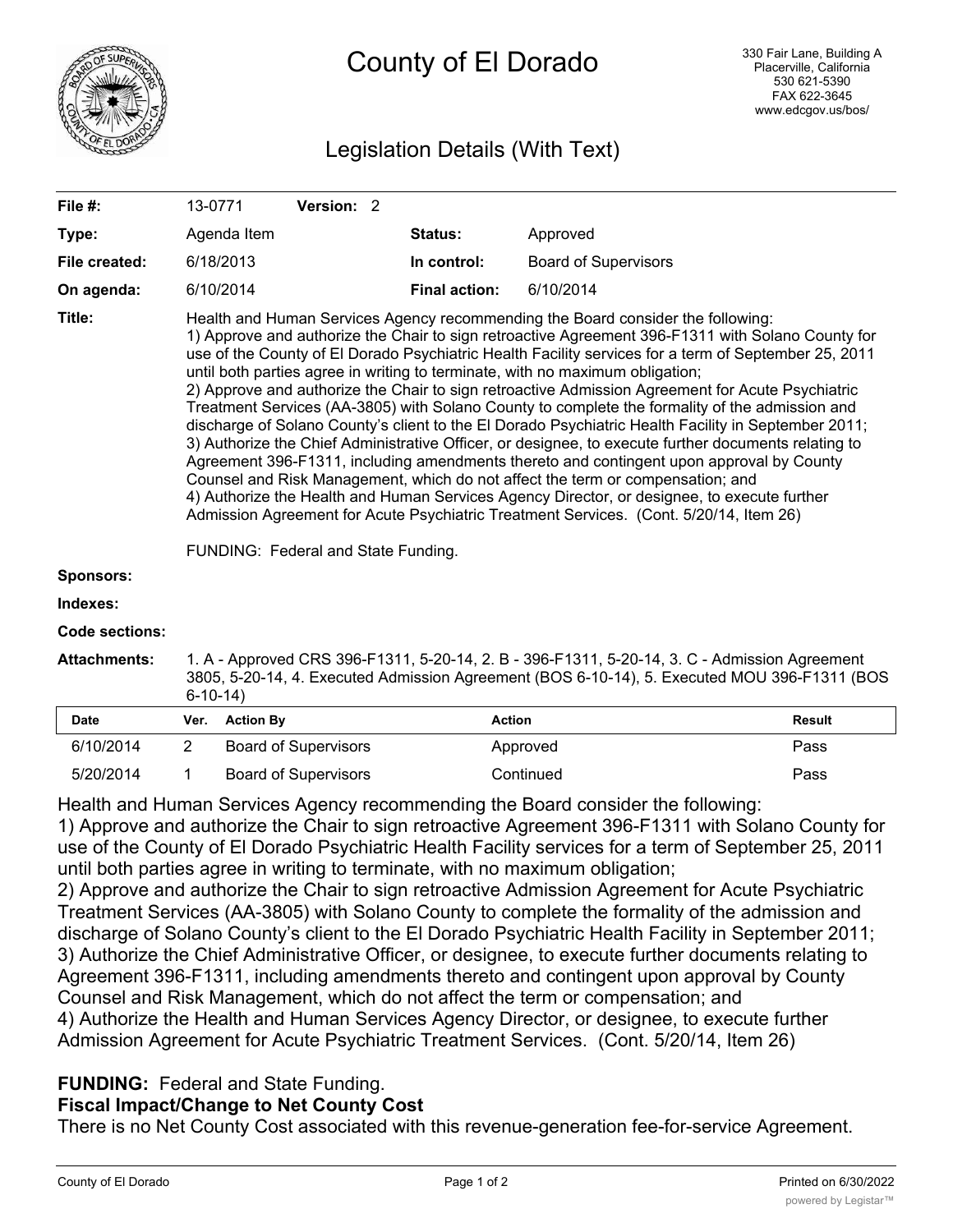

# Legislation Details (With Text)

| File $#$ :            | 13-0771                                                                                                                                                                                                                                                                                                                                                                                                                                                                                                                                                                                                                                                                                                                                                                                                                                                                                                                                                                                                                                                                                                                                                                                                          |                             |                  |  | Version: 2                  |           |                      |               |                             |               |
|-----------------------|------------------------------------------------------------------------------------------------------------------------------------------------------------------------------------------------------------------------------------------------------------------------------------------------------------------------------------------------------------------------------------------------------------------------------------------------------------------------------------------------------------------------------------------------------------------------------------------------------------------------------------------------------------------------------------------------------------------------------------------------------------------------------------------------------------------------------------------------------------------------------------------------------------------------------------------------------------------------------------------------------------------------------------------------------------------------------------------------------------------------------------------------------------------------------------------------------------------|-----------------------------|------------------|--|-----------------------------|-----------|----------------------|---------------|-----------------------------|---------------|
| Type:                 |                                                                                                                                                                                                                                                                                                                                                                                                                                                                                                                                                                                                                                                                                                                                                                                                                                                                                                                                                                                                                                                                                                                                                                                                                  | Agenda Item                 |                  |  |                             |           | Status:              |               | Approved                    |               |
| File created:         |                                                                                                                                                                                                                                                                                                                                                                                                                                                                                                                                                                                                                                                                                                                                                                                                                                                                                                                                                                                                                                                                                                                                                                                                                  | 6/18/2013                   |                  |  |                             |           | In control:          |               | <b>Board of Supervisors</b> |               |
| On agenda:            |                                                                                                                                                                                                                                                                                                                                                                                                                                                                                                                                                                                                                                                                                                                                                                                                                                                                                                                                                                                                                                                                                                                                                                                                                  | 6/10/2014                   |                  |  |                             |           | <b>Final action:</b> |               | 6/10/2014                   |               |
| Title:                | Health and Human Services Agency recommending the Board consider the following:<br>1) Approve and authorize the Chair to sign retroactive Agreement 396-F1311 with Solano County for<br>use of the County of El Dorado Psychiatric Health Facility services for a term of September 25, 2011<br>until both parties agree in writing to terminate, with no maximum obligation;<br>2) Approve and authorize the Chair to sign retroactive Admission Agreement for Acute Psychiatric<br>Treatment Services (AA-3805) with Solano County to complete the formality of the admission and<br>discharge of Solano County's client to the El Dorado Psychiatric Health Facility in September 2011;<br>3) Authorize the Chief Administrative Officer, or designee, to execute further documents relating to<br>Agreement 396-F1311, including amendments thereto and contingent upon approval by County<br>Counsel and Risk Management, which do not affect the term or compensation; and<br>4) Authorize the Health and Human Services Agency Director, or designee, to execute further<br>Admission Agreement for Acute Psychiatric Treatment Services. (Cont. 5/20/14, Item 26)<br>FUNDING: Federal and State Funding. |                             |                  |  |                             |           |                      |               |                             |               |
| <b>Sponsors:</b>      |                                                                                                                                                                                                                                                                                                                                                                                                                                                                                                                                                                                                                                                                                                                                                                                                                                                                                                                                                                                                                                                                                                                                                                                                                  |                             |                  |  |                             |           |                      |               |                             |               |
| Indexes:              |                                                                                                                                                                                                                                                                                                                                                                                                                                                                                                                                                                                                                                                                                                                                                                                                                                                                                                                                                                                                                                                                                                                                                                                                                  |                             |                  |  |                             |           |                      |               |                             |               |
| <b>Code sections:</b> |                                                                                                                                                                                                                                                                                                                                                                                                                                                                                                                                                                                                                                                                                                                                                                                                                                                                                                                                                                                                                                                                                                                                                                                                                  |                             |                  |  |                             |           |                      |               |                             |               |
| <b>Attachments:</b>   | 1. A - Approved CRS 396-F1311, 5-20-14, 2. B - 396-F1311, 5-20-14, 3. C - Admission Agreement<br>3805, 5-20-14, 4. Executed Admission Agreement (BOS 6-10-14), 5. Executed MOU 396-F1311 (BOS<br>$6-10-14$                                                                                                                                                                                                                                                                                                                                                                                                                                                                                                                                                                                                                                                                                                                                                                                                                                                                                                                                                                                                       |                             |                  |  |                             |           |                      |               |                             |               |
| <b>Date</b>           | Ver.                                                                                                                                                                                                                                                                                                                                                                                                                                                                                                                                                                                                                                                                                                                                                                                                                                                                                                                                                                                                                                                                                                                                                                                                             |                             | <b>Action By</b> |  |                             |           |                      | <b>Action</b> |                             | <b>Result</b> |
| 6/10/2014             | 2                                                                                                                                                                                                                                                                                                                                                                                                                                                                                                                                                                                                                                                                                                                                                                                                                                                                                                                                                                                                                                                                                                                                                                                                                |                             |                  |  | <b>Board of Supervisors</b> |           |                      |               | Approved                    | Pass          |
| 5/20/2014             | 1                                                                                                                                                                                                                                                                                                                                                                                                                                                                                                                                                                                                                                                                                                                                                                                                                                                                                                                                                                                                                                                                                                                                                                                                                | <b>Board of Supervisors</b> |                  |  |                             | Continued |                      | Pass          |                             |               |

Health and Human Services Agency recommending the Board consider the following: 1) Approve and authorize the Chair to sign retroactive Agreement 396-F1311 with Solano County for use of the County of El Dorado Psychiatric Health Facility services for a term of September 25, 2011 until both parties agree in writing to terminate, with no maximum obligation;

2) Approve and authorize the Chair to sign retroactive Admission Agreement for Acute Psychiatric Treatment Services (AA-3805) with Solano County to complete the formality of the admission and discharge of Solano County's client to the El Dorado Psychiatric Health Facility in September 2011; 3) Authorize the Chief Administrative Officer, or designee, to execute further documents relating to Agreement 396-F1311, including amendments thereto and contingent upon approval by County Counsel and Risk Management, which do not affect the term or compensation; and 4) Authorize the Health and Human Services Agency Director, or designee, to execute further Admission Agreement for Acute Psychiatric Treatment Services. (Cont. 5/20/14, Item 26)

## **FUNDING:** Federal and State Funding.

# **Fiscal Impact/Change to Net County Cost**

There is no Net County Cost associated with this revenue-generation fee-for-service Agreement.